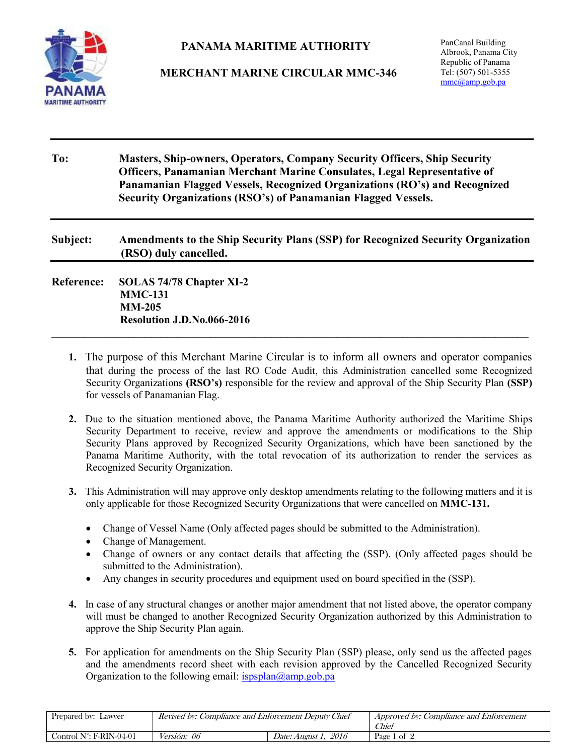**MARITIME AUTHORITY** 

## **PANAMA MARITIME AUTHORITY**

**MERCHANT MARINE CIRCULAR MMC-346**

| To:               | <b>Masters, Ship-owners, Operators, Company Security Officers, Ship Security</b><br>Officers, Panamanian Merchant Marine Consulates, Legal Representative of<br>Panamanian Flagged Vessels, Recognized Organizations (RO's) and Recognized<br>Security Organizations (RSO's) of Panamanian Flagged Vessels.<br>Amendments to the Ship Security Plans (SSP) for Recognized Security Organization<br>(RSO) duly cancelled. |  |  |
|-------------------|--------------------------------------------------------------------------------------------------------------------------------------------------------------------------------------------------------------------------------------------------------------------------------------------------------------------------------------------------------------------------------------------------------------------------|--|--|
| Subject:          |                                                                                                                                                                                                                                                                                                                                                                                                                          |  |  |
| <b>Reference:</b> | SOLAS 74/78 Chapter XI-2<br><b>MMC-131</b><br>$MM-205$<br>Resolution J.D.No.066-2016                                                                                                                                                                                                                                                                                                                                     |  |  |

- **1.** The purpose of this Merchant Marine Circular is to inform all owners and operator companies that during the process of the last RO Code Audit, this Administration cancelled some Recognized Security Organizations **(RSO's)** responsible for the review and approval of the Ship Security Plan **(SSP)** for vessels of Panamanian Flag.
- **2.** Due to the situation mentioned above, the Panama Maritime Authority authorized the Maritime Ships Security Department to receive, review and approve the amendments or modifications to the Ship Security Plans approved by Recognized Security Organizations, which have been sanctioned by the Panama Maritime Authority, with the total revocation of its authorization to render the services as Recognized Security Organization.
- **3.** This Administration will may approve only desktop amendments relating to the following matters and it is only applicable for those Recognized Security Organizations that were cancelled on **MMC-131.**
	- Change of Vessel Name (Only affected pages should be submitted to the Administration).
	- Change of Management.
	- Change of owners or any contact details that affecting the (SSP). (Only affected pages should be submitted to the Administration).
	- Any changes in security procedures and equipment used on board specified in the (SSP).
- **4.** In case of any structural changes or another major amendment that not listed above, the operator company will must be changed to another Recognized Security Organization authorized by this Administration to approve the Ship Security Plan again.
- **5.** For application for amendments on the Ship Security Plan (SSP) please, only send us the affected pages and the amendments record sheet with each revision approved by the Cancelled Recognized Security Organization to the following email:  $ispslan(\omega)$ amp.gob.pa

| Revised by: Compliance and Enforcement Deputy Chief<br>Prepared by: Lawyer |                    |                                | <i>Approved by: Compliance and Enforcement</i><br>Chier |
|----------------------------------------------------------------------------|--------------------|--------------------------------|---------------------------------------------------------|
| Control $N^{\circ}$ : F-RIN-04-01                                          | <i>Versión: 06</i> | 2016<br><i>Date: August 1.</i> | Page 1 of 2                                             |